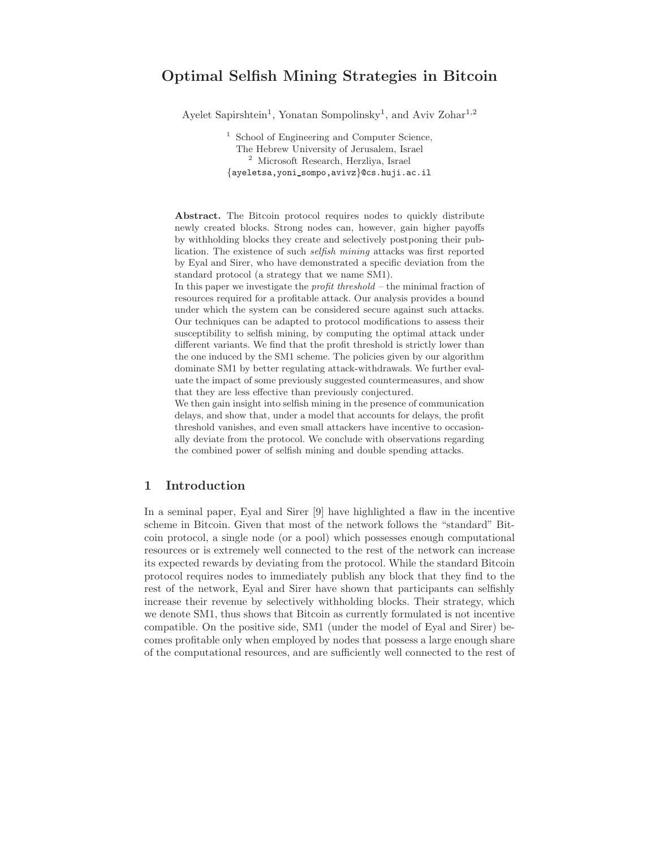# Optimal Selfish Mining Strategies in Bitcoin

Ayelet Sapirshtein<sup>1</sup>, Yonatan Sompolinsky<sup>1</sup>, and Aviv Zohar<sup>1,2</sup>

<sup>1</sup> School of Engineering and Computer Science, The Hebrew University of Jerusalem, Israel <sup>2</sup> Microsoft Research, Herzliya, Israel {ayeletsa,yoni sompo,avivz}@cs.huji.ac.il

Abstract. The Bitcoin protocol requires nodes to quickly distribute newly created blocks. Strong nodes can, however, gain higher payoffs by withholding blocks they create and selectively postponing their publication. The existence of such *selfish mining* attacks was first reported by Eyal and Sirer, who have demonstrated a specific deviation from the standard protocol (a strategy that we name SM1).

In this paper we investigate the *profit threshold* – the minimal fraction of resources required for a profitable attack. Our analysis provides a bound under which the system can be considered secure against such attacks. Our techniques can be adapted to protocol modifications to assess their susceptibility to selfish mining, by computing the optimal attack under different variants. We find that the profit threshold is strictly lower than the one induced by the SM1 scheme. The policies given by our algorithm dominate SM1 by better regulating attack-withdrawals. We further evaluate the impact of some previously suggested countermeasures, and show that they are less effective than previously conjectured.

We then gain insight into selfish mining in the presence of communication delays, and show that, under a model that accounts for delays, the profit threshold vanishes, and even small attackers have incentive to occasionally deviate from the protocol. We conclude with observations regarding the combined power of selfish mining and double spending attacks.

### 1 Introduction

In a seminal paper, Eyal and Sirer [9] have highlighted a flaw in the incentive scheme in Bitcoin. Given that most of the network follows the "standard" Bitcoin protocol, a single node (or a pool) which possesses enough computational resources or is extremely well connected to the rest of the network can increase its expected rewards by deviating from the protocol. While the standard Bitcoin protocol requires nodes to immediately publish any block that they find to the rest of the network, Eyal and Sirer have shown that participants can selfishly increase their revenue by selectively withholding blocks. Their strategy, which we denote SM1, thus shows that Bitcoin as currently formulated is not incentive compatible. On the positive side, SM1 (under the model of Eyal and Sirer) becomes profitable only when employed by nodes that possess a large enough share of the computational resources, and are sufficiently well connected to the rest of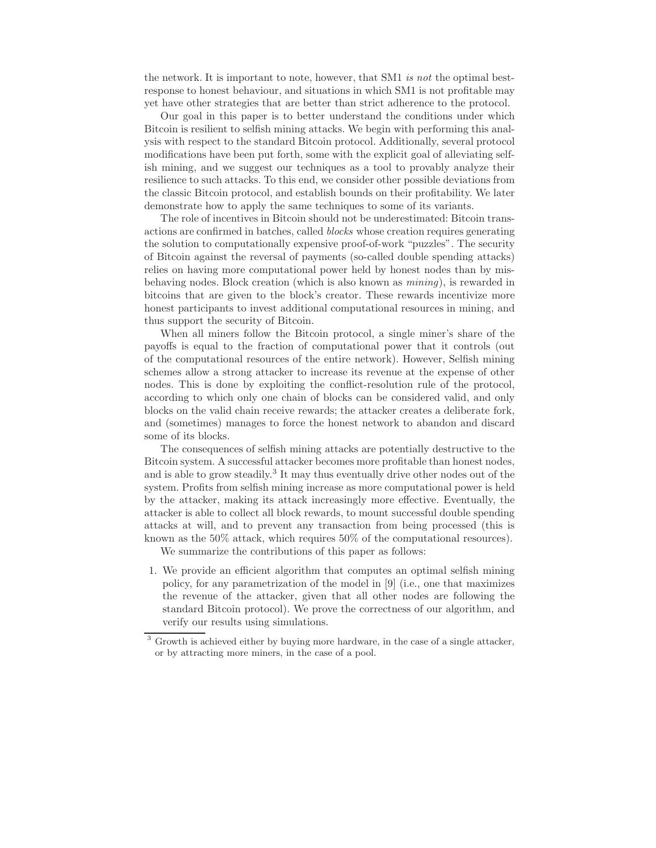the network. It is important to note, however, that SM1 is not the optimal bestresponse to honest behaviour, and situations in which SM1 is not profitable may yet have other strategies that are better than strict adherence to the protocol.

Our goal in this paper is to better understand the conditions under which Bitcoin is resilient to selfish mining attacks. We begin with performing this analysis with respect to the standard Bitcoin protocol. Additionally, several protocol modifications have been put forth, some with the explicit goal of alleviating selfish mining, and we suggest our techniques as a tool to provably analyze their resilience to such attacks. To this end, we consider other possible deviations from the classic Bitcoin protocol, and establish bounds on their profitability. We later demonstrate how to apply the same techniques to some of its variants.

The role of incentives in Bitcoin should not be underestimated: Bitcoin transactions are confirmed in batches, called blocks whose creation requires generating the solution to computationally expensive proof-of-work "puzzles". The security of Bitcoin against the reversal of payments (so-called double spending attacks) relies on having more computational power held by honest nodes than by misbehaving nodes. Block creation (which is also known as mining), is rewarded in bitcoins that are given to the block's creator. These rewards incentivize more honest participants to invest additional computational resources in mining, and thus support the security of Bitcoin.

When all miners follow the Bitcoin protocol, a single miner's share of the payoffs is equal to the fraction of computational power that it controls (out of the computational resources of the entire network). However, Selfish mining schemes allow a strong attacker to increase its revenue at the expense of other nodes. This is done by exploiting the conflict-resolution rule of the protocol, according to which only one chain of blocks can be considered valid, and only blocks on the valid chain receive rewards; the attacker creates a deliberate fork, and (sometimes) manages to force the honest network to abandon and discard some of its blocks.

The consequences of selfish mining attacks are potentially destructive to the Bitcoin system. A successful attacker becomes more profitable than honest nodes, and is able to grow steadily.<sup>3</sup> It may thus eventually drive other nodes out of the system. Profits from selfish mining increase as more computational power is held by the attacker, making its attack increasingly more effective. Eventually, the attacker is able to collect all block rewards, to mount successful double spending attacks at will, and to prevent any transaction from being processed (this is known as the 50% attack, which requires 50% of the computational resources).

We summarize the contributions of this paper as follows:

1. We provide an efficient algorithm that computes an optimal selfish mining policy, for any parametrization of the model in [9] (i.e., one that maximizes the revenue of the attacker, given that all other nodes are following the standard Bitcoin protocol). We prove the correctness of our algorithm, and verify our results using simulations.

 $^3$  Growth is achieved either by buying more hardware, in the case of a single attacker, or by attracting more miners, in the case of a pool.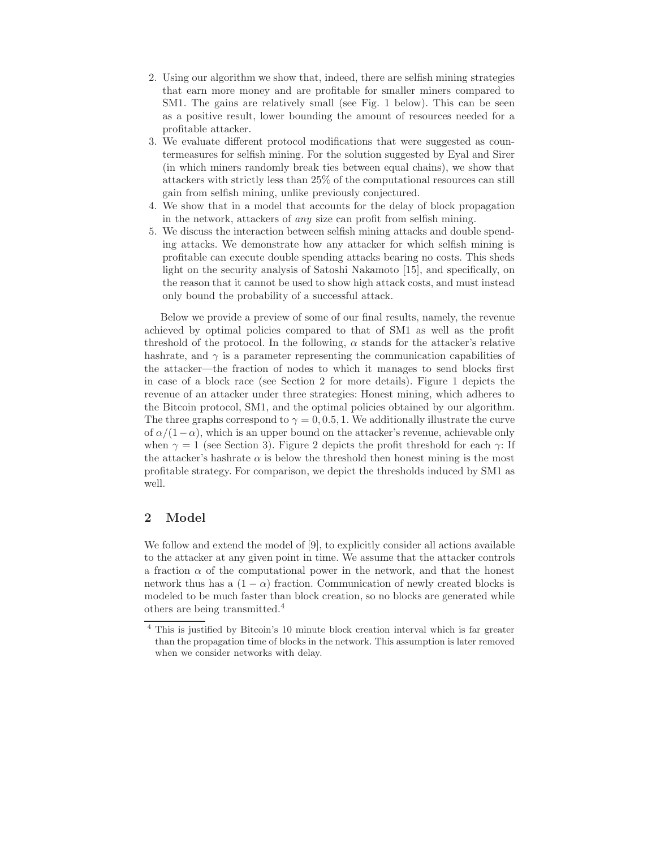- 2. Using our algorithm we show that, indeed, there are selfish mining strategies that earn more money and are profitable for smaller miners compared to SM1. The gains are relatively small (see Fig. 1 below). This can be seen as a positive result, lower bounding the amount of resources needed for a profitable attacker.
- 3. We evaluate different protocol modifications that were suggested as countermeasures for selfish mining. For the solution suggested by Eyal and Sirer (in which miners randomly break ties between equal chains), we show that attackers with strictly less than 25% of the computational resources can still gain from selfish mining, unlike previously conjectured.
- 4. We show that in a model that accounts for the delay of block propagation in the network, attackers of any size can profit from selfish mining.
- 5. We discuss the interaction between selfish mining attacks and double spending attacks. We demonstrate how any attacker for which selfish mining is profitable can execute double spending attacks bearing no costs. This sheds light on the security analysis of Satoshi Nakamoto [15], and specifically, on the reason that it cannot be used to show high attack costs, and must instead only bound the probability of a successful attack.

Below we provide a preview of some of our final results, namely, the revenue achieved by optimal policies compared to that of SM1 as well as the profit threshold of the protocol. In the following,  $\alpha$  stands for the attacker's relative hashrate, and  $\gamma$  is a parameter representing the communication capabilities of the attacker—the fraction of nodes to which it manages to send blocks first in case of a block race (see Section 2 for more details). Figure 1 depicts the revenue of an attacker under three strategies: Honest mining, which adheres to the Bitcoin protocol, SM1, and the optimal policies obtained by our algorithm. The three graphs correspond to  $\gamma = 0, 0.5, 1$ . We additionally illustrate the curve of  $\alpha/(1-\alpha)$ , which is an upper bound on the attacker's revenue, achievable only when  $\gamma = 1$  (see Section 3). Figure 2 depicts the profit threshold for each  $\gamma$ : If the attacker's hashrate  $\alpha$  is below the threshold then honest mining is the most profitable strategy. For comparison, we depict the thresholds induced by SM1 as well.

### 2 Model

We follow and extend the model of [9], to explicitly consider all actions available to the attacker at any given point in time. We assume that the attacker controls a fraction  $\alpha$  of the computational power in the network, and that the honest network thus has a  $(1 - \alpha)$  fraction. Communication of newly created blocks is modeled to be much faster than block creation, so no blocks are generated while others are being transmitted.<sup>4</sup>

<sup>4</sup> This is justified by Bitcoin's 10 minute block creation interval which is far greater than the propagation time of blocks in the network. This assumption is later removed when we consider networks with delay.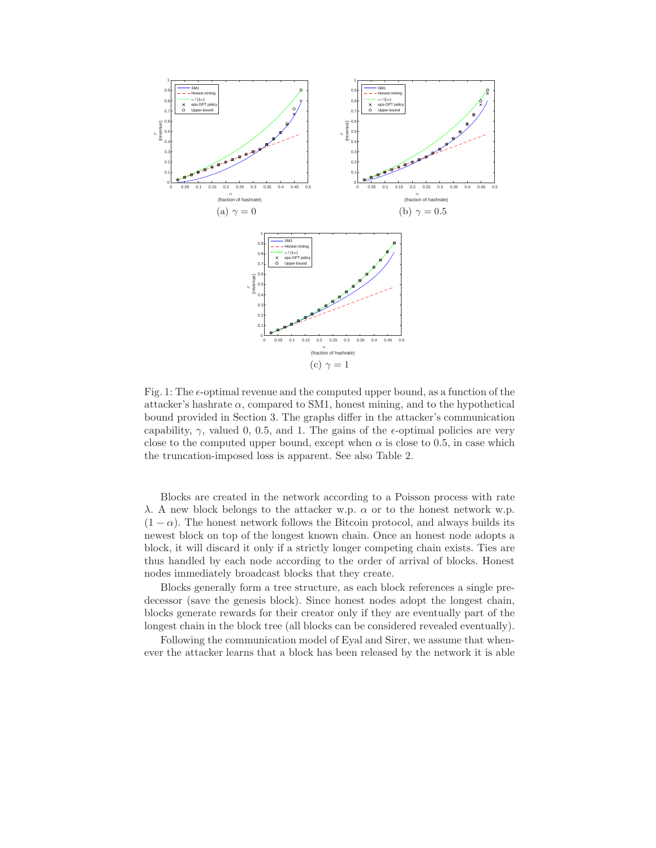

Fig. 1: The  $\epsilon$ -optimal revenue and the computed upper bound, as a function of the attacker's hashrate  $\alpha$ , compared to SM1, honest mining, and to the hypothetical bound provided in Section 3. The graphs differ in the attacker's communication capability,  $\gamma$ , valued 0, 0.5, and 1. The gains of the  $\epsilon$ -optimal policies are very close to the computed upper bound, except when  $\alpha$  is close to 0.5, in case which the truncation-imposed loss is apparent. See also Table 2.

Blocks are created in the network according to a Poisson process with rate λ. A new block belongs to the attacker w.p. α or to the honest network w.p.  $(1 - \alpha)$ . The honest network follows the Bitcoin protocol, and always builds its newest block on top of the longest known chain. Once an honest node adopts a block, it will discard it only if a strictly longer competing chain exists. Ties are thus handled by each node according to the order of arrival of blocks. Honest nodes immediately broadcast blocks that they create.

Blocks generally form a tree structure, as each block references a single predecessor (save the genesis block). Since honest nodes adopt the longest chain, blocks generate rewards for their creator only if they are eventually part of the longest chain in the block tree (all blocks can be considered revealed eventually).

Following the communication model of Eyal and Sirer, we assume that whenever the attacker learns that a block has been released by the network it is able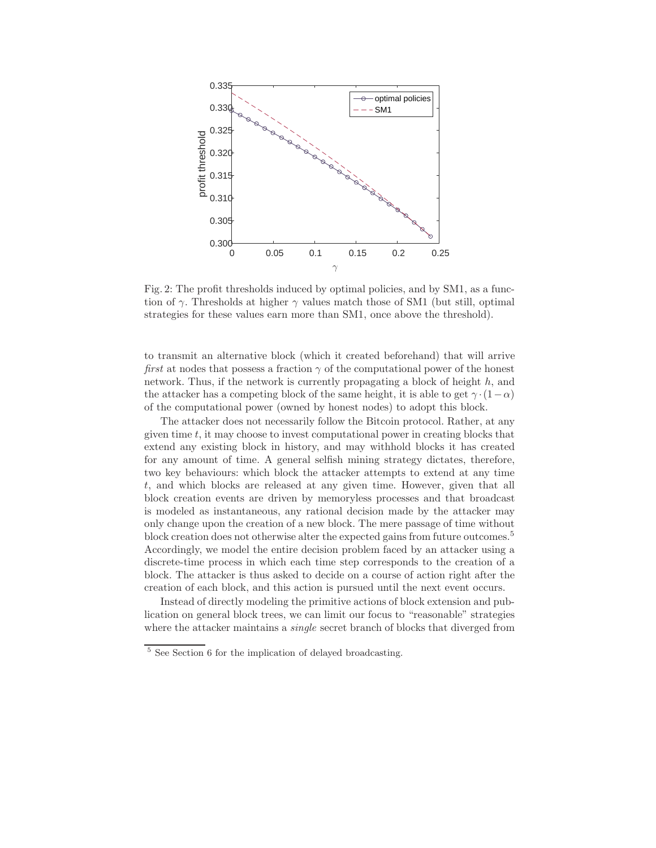

Fig. 2: The profit thresholds induced by optimal policies, and by SM1, as a function of  $\gamma$ . Thresholds at higher  $\gamma$  values match those of SM1 (but still, optimal strategies for these values earn more than SM1, once above the threshold).

to transmit an alternative block (which it created beforehand) that will arrive first at nodes that possess a fraction  $\gamma$  of the computational power of the honest network. Thus, if the network is currently propagating a block of height  $h$ , and the attacker has a competing block of the same height, it is able to get  $\gamma \cdot (1-\alpha)$ of the computational power (owned by honest nodes) to adopt this block.

The attacker does not necessarily follow the Bitcoin protocol. Rather, at any given time  $t$ , it may choose to invest computational power in creating blocks that extend any existing block in history, and may withhold blocks it has created for any amount of time. A general selfish mining strategy dictates, therefore, two key behaviours: which block the attacker attempts to extend at any time t, and which blocks are released at any given time. However, given that all block creation events are driven by memoryless processes and that broadcast is modeled as instantaneous, any rational decision made by the attacker may only change upon the creation of a new block. The mere passage of time without block creation does not otherwise alter the expected gains from future outcomes.<sup>5</sup> Accordingly, we model the entire decision problem faced by an attacker using a discrete-time process in which each time step corresponds to the creation of a block. The attacker is thus asked to decide on a course of action right after the creation of each block, and this action is pursued until the next event occurs.

Instead of directly modeling the primitive actions of block extension and publication on general block trees, we can limit our focus to "reasonable" strategies where the attacker maintains a *single* secret branch of blocks that diverged from

<sup>5</sup> See Section 6 for the implication of delayed broadcasting.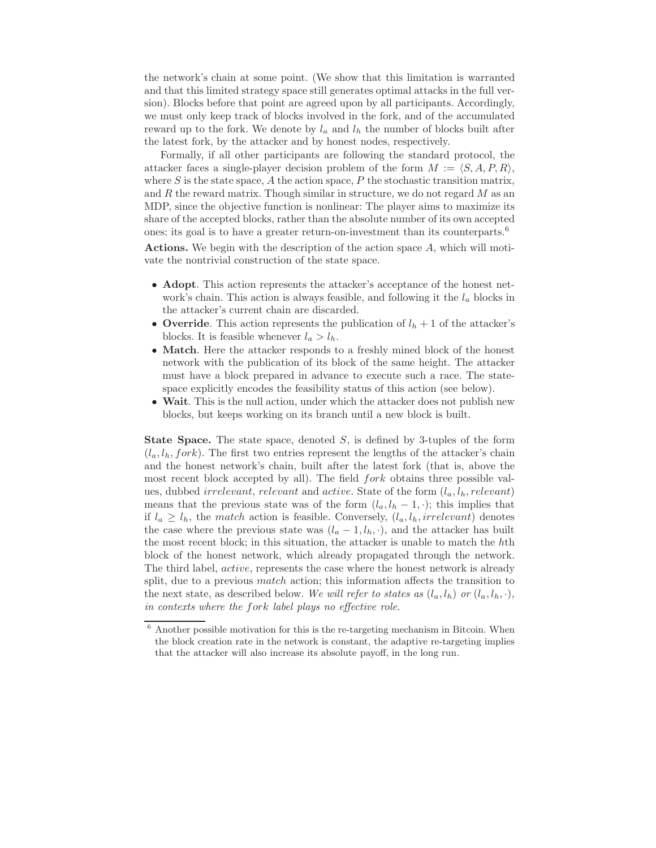the network's chain at some point. (We show that this limitation is warranted and that this limited strategy space still generates optimal attacks in the full version). Blocks before that point are agreed upon by all participants. Accordingly, we must only keep track of blocks involved in the fork, and of the accumulated reward up to the fork. We denote by  $l_a$  and  $l_b$  the number of blocks built after the latest fork, by the attacker and by honest nodes, respectively.

Formally, if all other participants are following the standard protocol, the attacker faces a single-player decision problem of the form  $M := \langle S, A, P, R \rangle$ , where  $S$  is the state space,  $A$  the action space,  $P$  the stochastic transition matrix, and  $R$  the reward matrix. Though similar in structure, we do not regard  $M$  as an MDP, since the objective function is nonlinear: The player aims to maximize its share of the accepted blocks, rather than the absolute number of its own accepted ones; its goal is to have a greater return-on-investment than its counterparts.<sup>6</sup>

Actions. We begin with the description of the action space A, which will motivate the nontrivial construction of the state space.

- **Adopt**. This action represents the attacker's acceptance of the honest network's chain. This action is always feasible, and following it the  $l_a$  blocks in the attacker's current chain are discarded.
- Override. This action represents the publication of  $l_h + 1$  of the attacker's blocks. It is feasible whenever  $l_a > l_h$ .
- Match. Here the attacker responds to a freshly mined block of the honest network with the publication of its block of the same height. The attacker must have a block prepared in advance to execute such a race. The statespace explicitly encodes the feasibility status of this action (see below).
- Wait. This is the null action, under which the attacker does not publish new blocks, but keeps working on its branch until a new block is built.

**State Space.** The state space, denoted  $S$ , is defined by 3-tuples of the form  $(l_a, l_h, fork)$ . The first two entries represent the lengths of the attacker's chain and the honest network's chain, built after the latest fork (that is, above the most recent block accepted by all). The field fork obtains three possible values, dubbed *irrelevant*, relevant and active. State of the form  $(l_a, l_h, relevant)$ means that the previous state was of the form  $(l_a, l_h - 1, \cdot)$ ; this implies that if  $l_a \geq l_h$ , the match action is feasible. Conversely,  $(l_a, l_h, irrelevant)$  denotes the case where the previous state was  $(l_a - 1, l_h, \cdot)$ , and the attacker has built the most recent block; in this situation, the attacker is unable to match the hth block of the honest network, which already propagated through the network. The third label, active, represents the case where the honest network is already split, due to a previous *match* action; this information affects the transition to the next state, as described below. We will refer to states as  $(l_a, l_h)$  or  $(l_a, l_h, \cdot)$ , in contexts where the fork label plays no effective role.

<sup>6</sup> Another possible motivation for this is the re-targeting mechanism in Bitcoin. When the block creation rate in the network is constant, the adaptive re-targeting implies that the attacker will also increase its absolute payoff, in the long run.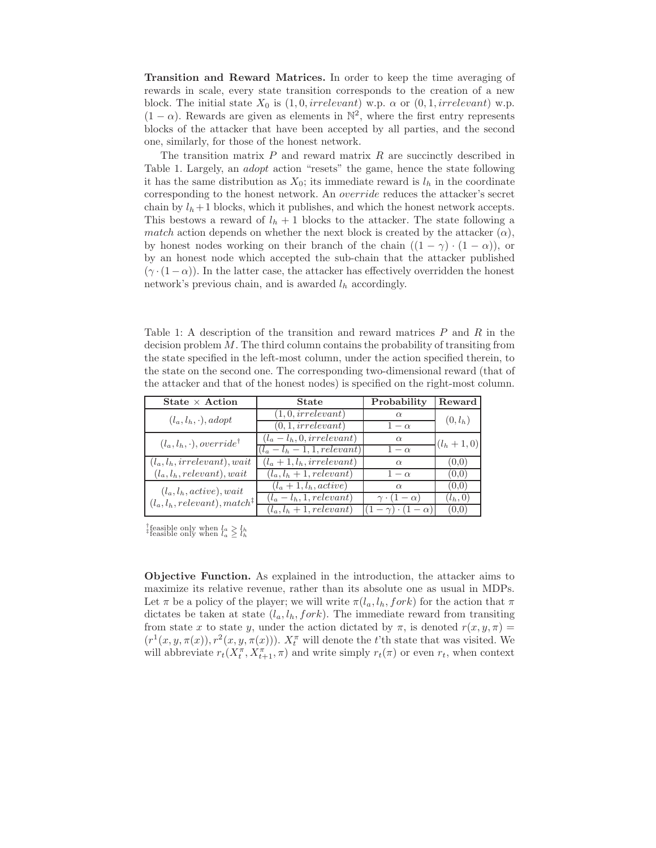Transition and Reward Matrices. In order to keep the time averaging of rewards in scale, every state transition corresponds to the creation of a new block. The initial state  $X_0$  is  $(1, 0, irrelevant)$  w.p.  $\alpha$  or  $(0, 1, irrelevant)$  w.p.  $(1 - \alpha)$ . Rewards are given as elements in  $\mathbb{N}^2$ , where the first entry represents blocks of the attacker that have been accepted by all parties, and the second one, similarly, for those of the honest network.

The transition matrix  $P$  and reward matrix  $R$  are succinctly described in Table 1. Largely, an adopt action "resets" the game, hence the state following it has the same distribution as  $X_0$ ; its immediate reward is  $l_h$  in the coordinate corresponding to the honest network. An override reduces the attacker's secret chain by  $l_h + 1$  blocks, which it publishes, and which the honest network accepts. This bestows a reward of  $l_h + 1$  blocks to the attacker. The state following a match action depends on whether the next block is created by the attacker  $(\alpha)$ , by honest nodes working on their branch of the chain  $((1 - \gamma) \cdot (1 - \alpha))$ , or by an honest node which accepted the sub-chain that the attacker published  $(\gamma \cdot (1-\alpha))$ . In the latter case, the attacker has effectively overridden the honest network's previous chain, and is awarded  $l<sub>h</sub>$  accordingly.

Table 1: A description of the transition and reward matrices  $P$  and  $R$  in the decision problem M. The third column contains the probability of transiting from the state specified in the left-most column, under the action specified therein, to the state on the second one. The corresponding two-dimensional reward (that of the attacker and that of the honest nodes) is specified on the right-most column.

| State $\times$ Action                    | <b>State</b>                              | Probability                   | Reward         |  |
|------------------------------------------|-------------------------------------------|-------------------------------|----------------|--|
| $(l_a, l_h, \cdot), adopt$               | (1,0, irrelevant)                         | $\alpha$                      | $(0, l_h)$     |  |
|                                          | (0, 1, irrelevant)                        | $1-\alpha$                    |                |  |
| $(l_a, l_h, \cdot), override^{\dagger}$  | $(l_a - l_h, 0, irrelevant)$              | $\alpha$                      | $(l_h + 1, 0)$ |  |
|                                          | $(l_a - l_h - 1, \overline{1, relevant})$ | $1-\alpha$                    |                |  |
| $(l_a, l_b, irrelevant), wait$           | $(l_a+1, l_h, irrelevant)$                | $\alpha$                      | (0,0)          |  |
| $(l_a, l_h, relevant), wait$             | $(l_a, l_h + 1, relevant)$                | $1-\alpha$                    | (0,0)          |  |
| $(l_a, l_h, active), wait$               | $(l_a+1, l_h, active)$                    | $\alpha$                      | (0,0)          |  |
| $(l_a, l_h, relevant), match^{\ddagger}$ | $(l_a - l_h, 1,$ relevant)                | $\gamma \cdot (1-\alpha)$     | $(l_h, 0)$     |  |
|                                          | $(l_a, l_h + 1, relevant)$                | $(1-\gamma) \cdot (1-\alpha)$ | (0,0)          |  |

<sup>†</sup> feasible only when  $l_a \geq l_h$ <sup>h</sup> feasible only when  $l_a \geq l_h$ 

Objective Function. As explained in the introduction, the attacker aims to maximize its relative revenue, rather than its absolute one as usual in MDPs. Let  $\pi$  be a policy of the player; we will write  $\pi(l_a, l_b, fork)$  for the action that  $\pi$ dictates be taken at state  $(l_a, l_h, fork)$ . The immediate reward from transiting from state x to state y, under the action dictated by  $\pi$ , is denoted  $r(x, y, \pi) =$  $(r^{1}(x, y, \pi(x)), r^{2}(x, y, \pi(x)))$ .  $X_{t}^{\pi}$  will denote the *t*'th state that was visited. We will abbreviate  $r_t(X_t^{\pi}, X_{t+1}^{\pi}, \pi)$  and write simply  $r_t(\pi)$  or even  $r_t$ , when context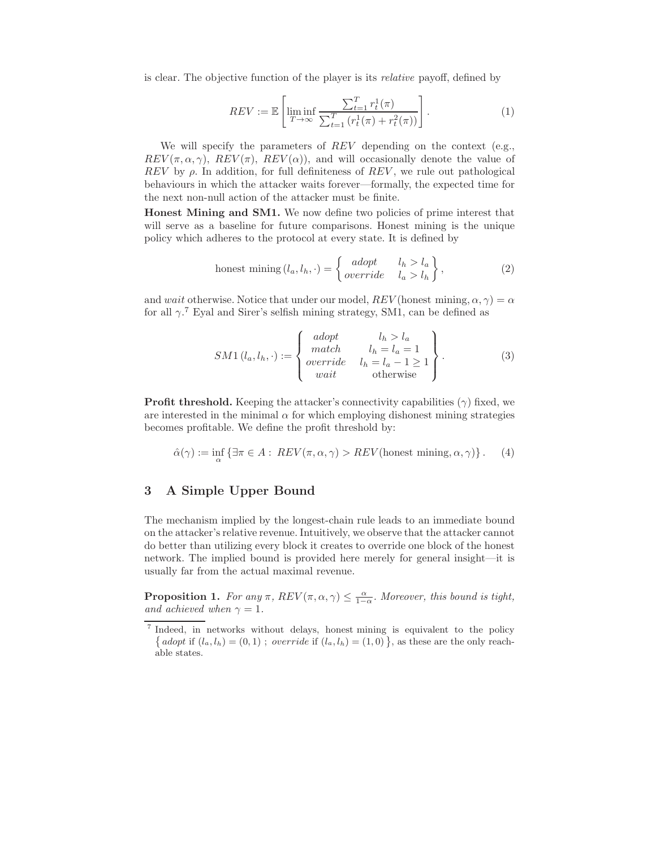is clear. The objective function of the player is its relative payoff, defined by

$$
REV := \mathbb{E}\left[\liminf_{T \to \infty} \frac{\sum_{t=1}^T r_t^1(\pi)}{\sum_{t=1}^T (r_t^1(\pi) + r_t^2(\pi))}\right].\tag{1}
$$

We will specify the parameters of REV depending on the context (e.g.,  $REV(\pi, \alpha, \gamma)$ ,  $REV(\pi)$ ,  $REV(\alpha)$ , and will occasionally denote the value of REV by  $\rho$ . In addition, for full definiteness of REV, we rule out pathological behaviours in which the attacker waits forever—formally, the expected time for the next non-null action of the attacker must be finite.

Honest Mining and SM1. We now define two policies of prime interest that will serve as a baseline for future comparisons. Honest mining is the unique policy which adheres to the protocol at every state. It is defined by

honest mining 
$$
(l_a, l_h, \cdot) = \begin{cases} adopt & l_h > l_a \\ override & l_a > l_h \end{cases}
$$
, (2)

and wait otherwise. Notice that under our model,  $REV$  (honest mining,  $\alpha, \gamma$ ) =  $\alpha$ for all  $\gamma$ .<sup>7</sup> Eyal and Sirer's selfish mining strategy, SM1, can be defined as

$$
SM1(l_a, l_h, \cdot) := \begin{cases} adopt & l_h > l_a \\ match & l_h = l_a = 1 \\ override & l_h = l_a - 1 \ge 1 \\ wait & otherwise \end{cases}.
$$
 (3)

**Profit threshold.** Keeping the attacker's connectivity capabilities  $(\gamma)$  fixed, we are interested in the minimal  $\alpha$  for which employing dishonest mining strategies becomes profitable. We define the profit threshold by:

$$
\hat{\alpha}(\gamma) := \inf_{\alpha} \left\{ \exists \pi \in A : REV(\pi, \alpha, \gamma) > REV(\text{honest mining}, \alpha, \gamma) \right\}. \tag{4}
$$

## 3 A Simple Upper Bound

The mechanism implied by the longest-chain rule leads to an immediate bound on the attacker's relative revenue. Intuitively, we observe that the attacker cannot do better than utilizing every block it creates to override one block of the honest network. The implied bound is provided here merely for general insight—it is usually far from the actual maximal revenue.

**Proposition 1.** For any  $\pi$ ,  $REV(\pi, \alpha, \gamma) \leq \frac{\alpha}{1-\alpha}$ . Moreover, this bound is tight, and achieved when  $\gamma = 1$ .

<sup>&</sup>lt;sup>7</sup> Indeed, in networks without delays, honest mining is equivalent to the policy  $\{ adopt \text{ if } (l_a, l_h) = (0, 1) \; ; \; override \text{ if } (l_a, l_h) = (1, 0) \}$ , as these are the only reachable states.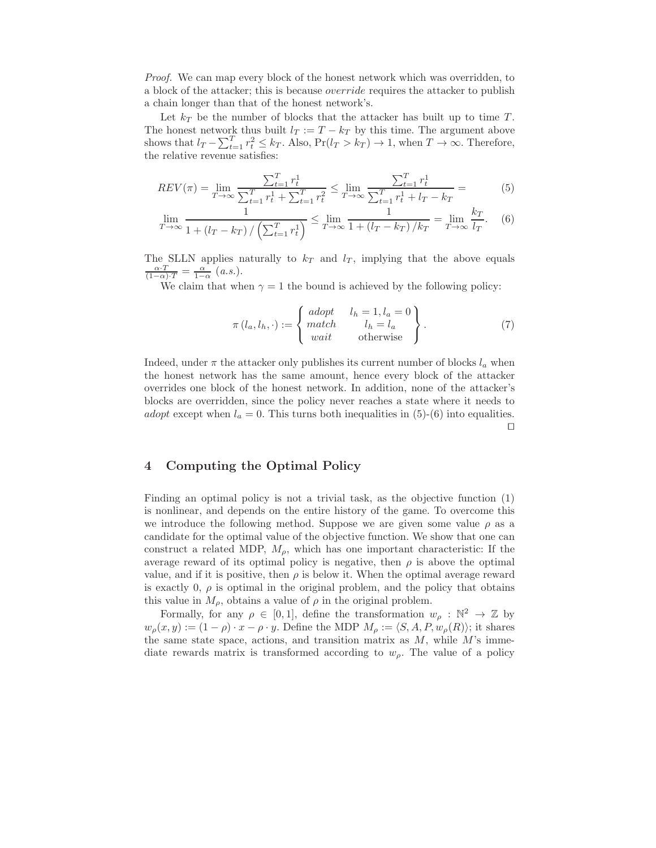Proof. We can map every block of the honest network which was overridden, to a block of the attacker; this is because override requires the attacker to publish a chain longer than that of the honest network's.

Let  $k_T$  be the number of blocks that the attacker has built up to time  $T$ . The honest network thus built  $l_T := T - k_T$  by this time. The argument above shows that  $l_T - \sum_{t=1}^T r_t^2 \leq k_T$ . Also,  $Pr(l_T > k_T) \to 1$ , when  $T \to \infty$ . Therefore, the relative revenue satisfies:

$$
REV(\pi) = \lim_{T \to \infty} \frac{\sum_{t=1}^T r_t^1}{\sum_{t=1}^T r_t^1 + \sum_{t=1}^T r_t^2} \le \lim_{T \to \infty} \frac{\sum_{t=1}^T r_t^1}{\sum_{t=1}^T r_t^1 + l_T - k_T} = \tag{5}
$$

$$
\lim_{T \to \infty} \frac{1}{1 + (l_T - k_T) / (\sum_{t=1}^T r_t^1)} \le \lim_{T \to \infty} \frac{1}{1 + (l_T - k_T) / k_T} = \lim_{T \to \infty} \frac{k_T}{l_T}.
$$
 (6)

The SLLN applies naturally to  $k_T$  and  $l_T$ , implying that the above equals  $\frac{\alpha \cdot T}{(1-\alpha)\cdot T} = \frac{\alpha}{1-\alpha}$   $(a.s.)$ .

We claim that when  $\gamma = 1$  the bound is achieved by the following policy:

$$
\pi(l_a, l_h, \cdot) := \begin{cases}\n\operatorname{adopt} & l_h = 1, l_a = 0 \\
\operatorname{match} & l_h = l_a \\
\operatorname{wait} & \text{otherwise}\n\end{cases}.
$$
\n(7)

Indeed, under  $\pi$  the attacker only publishes its current number of blocks  $l_a$  when the honest network has the same amount, hence every block of the attacker overrides one block of the honest network. In addition, none of the attacker's blocks are overridden, since the policy never reaches a state where it needs to adopt except when  $l_a = 0$ . This turns both inequalities in (5)-(6) into equalities. ⊓⊔

# 4 Computing the Optimal Policy

Finding an optimal policy is not a trivial task, as the objective function (1) is nonlinear, and depends on the entire history of the game. To overcome this we introduce the following method. Suppose we are given some value  $\rho$  as a candidate for the optimal value of the objective function. We show that one can construct a related MDP,  $M_{\rho}$ , which has one important characteristic: If the average reward of its optimal policy is negative, then  $\rho$  is above the optimal value, and if it is positive, then  $\rho$  is below it. When the optimal average reward is exactly 0,  $\rho$  is optimal in the original problem, and the policy that obtains this value in  $M_{\rho}$ , obtains a value of  $\rho$  in the original problem.

Formally, for any  $\rho \in [0,1]$ , define the transformation  $w_{\rho}: \mathbb{N}^2 \to \mathbb{Z}$  by  $w_{\rho}(x, y) := (1 - \rho) \cdot x - \rho \cdot y$ . Define the MDP  $M_{\rho} := \langle S, A, P, w_{\rho}(R) \rangle$ ; it shares the same state space, actions, and transition matrix as  $M$ , while  $M$ 's immediate rewards matrix is transformed according to  $w_{\rho}$ . The value of a policy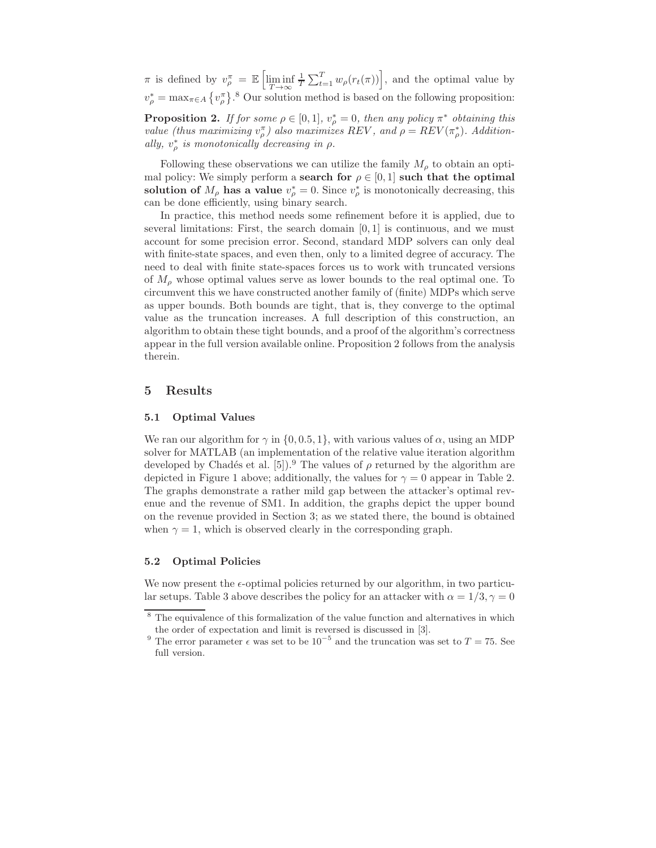$\pi$  is defined by  $v_{\rho}^{\pi} = \mathbb{E} \left[ \liminf_{T \to \infty}$  $\frac{1}{T} \sum_{t=1}^{T} w_{\rho}(r_t(\pi))\Big|$ , and the optimal value by  $v_{\rho}^* = \max_{\pi \in A} \{v_{\rho}^{\pi}\}\right.^8$  Our solution method is based on the following proposition:

**Proposition 2.** If for some  $\rho \in [0,1]$ ,  $v_{\rho}^* = 0$ , then any policy  $\pi^*$  obtaining this value (thus maximizing  $v_{\rho}^{\pi}$ ) also maximizes REV, and  $\rho = REV(\pi_{\rho}^{*})$ . Additionally,  $v_{\rho}^*$  is monotonically decreasing in  $\rho$ .

Following these observations we can utilize the family  $M_{\rho}$  to obtain an optimal policy: We simply perform a **search for**  $\rho \in [0,1]$  such that the optimal solution of  $M_\rho$  has a value  $v_\rho^* = 0$ . Since  $v_\rho^*$  is monotonically decreasing, this can be done efficiently, using binary search.

In practice, this method needs some refinement before it is applied, due to several limitations: First, the search domain  $[0, 1]$  is continuous, and we must account for some precision error. Second, standard MDP solvers can only deal with finite-state spaces, and even then, only to a limited degree of accuracy. The need to deal with finite state-spaces forces us to work with truncated versions of  $M_{\rho}$  whose optimal values serve as lower bounds to the real optimal one. To circumvent this we have constructed another family of (finite) MDPs which serve as upper bounds. Both bounds are tight, that is, they converge to the optimal value as the truncation increases. A full description of this construction, an algorithm to obtain these tight bounds, and a proof of the algorithm's correctness appear in the full version available online. Proposition 2 follows from the analysis therein.

### 5 Results

#### 5.1 Optimal Values

We ran our algorithm for  $\gamma$  in  $\{0, 0.5, 1\}$ , with various values of  $\alpha$ , using an MDP solver for MATLAB (an implementation of the relative value iteration algorithm developed by Chadés et al. [5]).<sup>9</sup> The values of  $\rho$  returned by the algorithm are depicted in Figure 1 above; additionally, the values for  $\gamma = 0$  appear in Table 2. The graphs demonstrate a rather mild gap between the attacker's optimal revenue and the revenue of SM1. In addition, the graphs depict the upper bound on the revenue provided in Section 3; as we stated there, the bound is obtained when  $\gamma = 1$ , which is observed clearly in the corresponding graph.

#### 5.2 Optimal Policies

We now present the  $\epsilon$ -optimal policies returned by our algorithm, in two particular setups. Table 3 above describes the policy for an attacker with  $\alpha = 1/3, \gamma = 0$ 

<sup>&</sup>lt;sup>8</sup> The equivalence of this formalization of the value function and alternatives in which the order of expectation and limit is reversed is discussed in [3].

<sup>&</sup>lt;sup>9</sup> The error parameter  $\epsilon$  was set to be 10<sup>-5</sup> and the truncation was set to  $T = 75$ . See full version.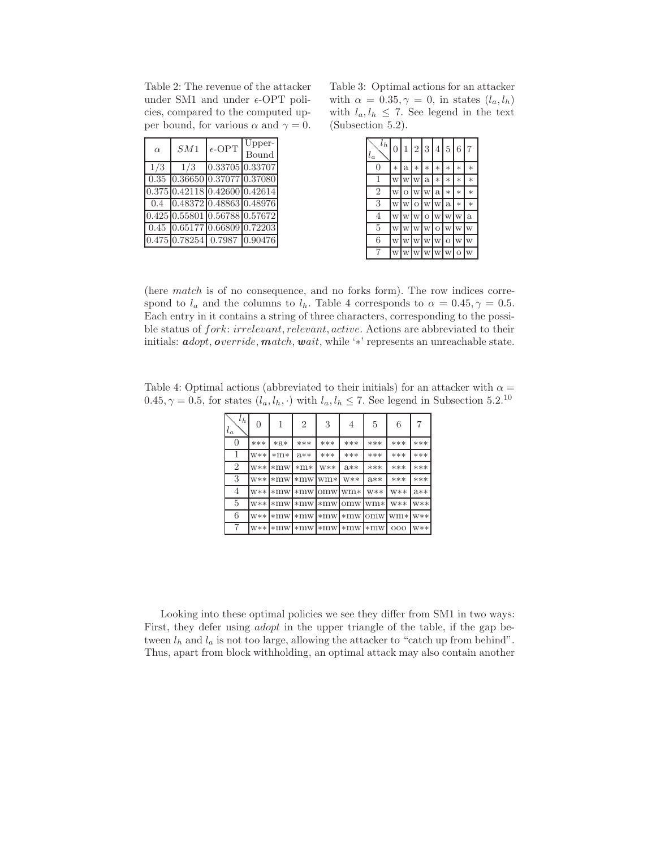Table 2: The revenue of the attacker under SM1 and under  $\epsilon$ -OPT policies, compared to the computed upper bound, for various  $\alpha$  and  $\gamma = 0$ .

| $\alpha$ | SM1                             | $\epsilon$ -OPT | Upper-<br>Bound |
|----------|---------------------------------|-----------------|-----------------|
| 1/3      | 1/3                             | 0.33705 0.33707 |                 |
| 0.35     | $0.36650$ $0.37077$ $0.37080$   |                 |                 |
|          | $0.375$ 0.42118 0.42600 0.42614 |                 |                 |
|          | 0.4 0.48372 0.48863 0.48976     |                 |                 |
|          | 0.425 0.55801 0.56788 0.57672   |                 |                 |
|          | $0.45$ 0.65177 0.66809 0.72203  |                 |                 |
|          | 0.475 0.78254 0.7987 0.90476    |                 |                 |

Table 3: Optimal actions for an attacker with  $\alpha = 0.35, \gamma = 0$ , in states  $(l_a, l_b)$ with  $l_a, l_h \leq 7$ . See legend in the text (Subsection 5.2).

| $l_h$<br>$l_a$ | $\overline{0}$ |     | 1 2 3                                                                               |         |        | $4\vert 5\vert 6$ |        |        |
|----------------|----------------|-----|-------------------------------------------------------------------------------------|---------|--------|-------------------|--------|--------|
| 0              | $\ast$         | a l |                                                                                     | $*$ $*$ | $\ast$ | $\ast$            | $\ast$ | $\ast$ |
| 1              |                |     | $w$ $w$ $w$ $a$ $*$                                                                 |         |        | $*$               | $*$    | $\ast$ |
| 2              |                |     | wowwa                                                                               |         |        | $*$               | $\ast$ | $\ast$ |
| 3              |                |     | $\mathbf{w}$ w   $\mathbf{0}$   $\mathbf{w}$   $\mathbf{w}$   $\mathbf{a}$   $\ast$ |         |        |                   |        | $\ast$ |
| 4              |                |     | w w o w w w                                                                         |         |        |                   |        | a      |
| 5              |                |     | w w w o w w w                                                                       |         |        |                   |        |        |
| 6              |                |     | wwwwwoww                                                                            |         |        |                   |        |        |
| 7              |                |     | w w w w w o w                                                                       |         |        |                   |        |        |

(here match is of no consequence, and no forks form). The row indices correspond to  $l_a$  and the columns to  $l_b$ . Table 4 corresponds to  $\alpha = 0.45, \gamma = 0.5$ . Each entry in it contains a string of three characters, corresponding to the possible status of fork: irrelevant, relevant, active. Actions are abbreviated to their initials: adopt, override, match, wait, while '∗' represents an unreachable state.

Table 4: Optimal actions (abbreviated to their initials) for an attacker with  $\alpha =$  $0.45, \gamma = 0.5$ , for states  $(l_a, l_h, \cdot)$  with  $l_a, l_h \leq 7$ . See legend in Subsection 5.2.<sup>10</sup>

| $l_h$<br>$l_a$ | 0      | 1     | 2     | 3     | 4     | 5     | 6   |       |
|----------------|--------|-------|-------|-------|-------|-------|-----|-------|
| 0              | ***    | $*a*$ | ***   | ***   | ***   | ***   | *** | ***   |
| 1              | $W$ ** | $*m*$ | $x**$ | ***   | ***   | ***   | *** | ***   |
| $\overline{2}$ | $W$ ** | $*mw$ | $*m*$ | W**   | $2**$ | ***   | *** | ***   |
| 3              | W**    | $*mw$ | $*mw$ | wm*   | W**   | $2**$ | *** | ***   |
| 4              | W**    | $*mw$ | $*mw$ | omw   | wm*   | W**   | W** | $2**$ |
| 5              | $W$ ** | $*mw$ | $*mw$ | $*mw$ | omw   | $wm*$ | W** | W**   |
| 6              | $W$ ** | $*mw$ | $*mw$ | $*mw$ | $*mw$ | omw   | wm* | W**   |
| 7              | $W$ ** | $*mw$ | $*mw$ | $*mw$ | $*mw$ | $*mw$ | 000 | W**   |

Looking into these optimal policies we see they differ from SM1 in two ways: First, they defer using *adopt* in the upper triangle of the table, if the gap between  $l_h$  and  $l_a$  is not too large, allowing the attacker to "catch up from behind". Thus, apart from block withholding, an optimal attack may also contain another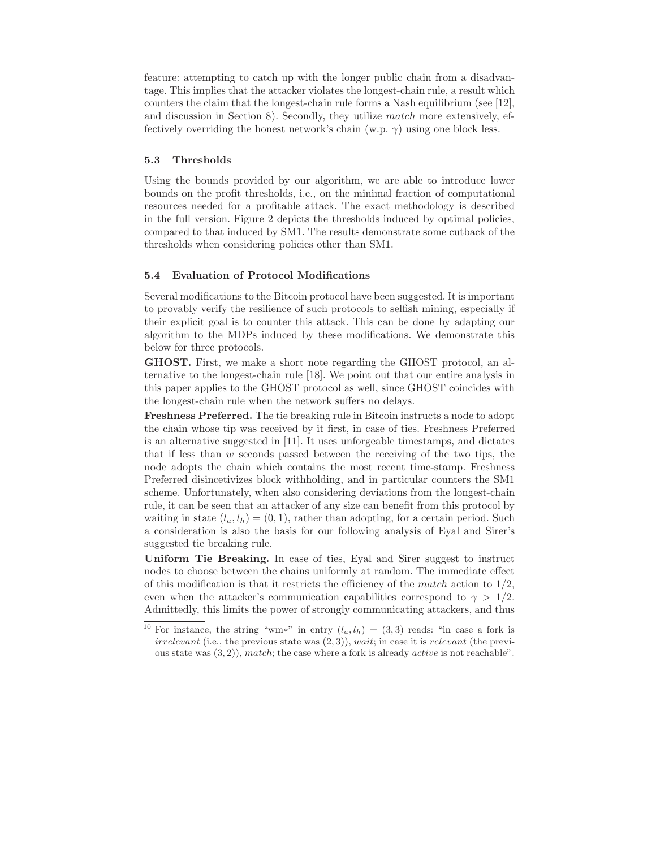feature: attempting to catch up with the longer public chain from a disadvantage. This implies that the attacker violates the longest-chain rule, a result which counters the claim that the longest-chain rule forms a Nash equilibrium (see  $[12]$ , and discussion in Section 8). Secondly, they utilize match more extensively, effectively overriding the honest network's chain (w.p.  $\gamma$ ) using one block less.

#### 5.3 Thresholds

Using the bounds provided by our algorithm, we are able to introduce lower bounds on the profit thresholds, i.e., on the minimal fraction of computational resources needed for a profitable attack. The exact methodology is described in the full version. Figure 2 depicts the thresholds induced by optimal policies, compared to that induced by SM1. The results demonstrate some cutback of the thresholds when considering policies other than SM1.

#### 5.4 Evaluation of Protocol Modifications

Several modifications to the Bitcoin protocol have been suggested. It is important to provably verify the resilience of such protocols to selfish mining, especially if their explicit goal is to counter this attack. This can be done by adapting our algorithm to the MDPs induced by these modifications. We demonstrate this below for three protocols.

GHOST. First, we make a short note regarding the GHOST protocol, an alternative to the longest-chain rule [18]. We point out that our entire analysis in this paper applies to the GHOST protocol as well, since GHOST coincides with the longest-chain rule when the network suffers no delays.

Freshness Preferred. The tie breaking rule in Bitcoin instructs a node to adopt the chain whose tip was received by it first, in case of ties. Freshness Preferred is an alternative suggested in [11]. It uses unforgeable timestamps, and dictates that if less than  $w$  seconds passed between the receiving of the two tips, the node adopts the chain which contains the most recent time-stamp. Freshness Preferred disincetivizes block withholding, and in particular counters the SM1 scheme. Unfortunately, when also considering deviations from the longest-chain rule, it can be seen that an attacker of any size can benefit from this protocol by waiting in state  $(l_a, l_h) = (0, 1)$ , rather than adopting, for a certain period. Such a consideration is also the basis for our following analysis of Eyal and Sirer's suggested tie breaking rule.

Uniform Tie Breaking. In case of ties, Eyal and Sirer suggest to instruct nodes to choose between the chains uniformly at random. The immediate effect of this modification is that it restricts the efficiency of the match action to  $1/2$ , even when the attacker's communication capabilities correspond to  $\gamma > 1/2$ . Admittedly, this limits the power of strongly communicating attackers, and thus

<sup>&</sup>lt;sup>10</sup> For instance, the string "wm\*" in entry  $(l_a, l_b) = (3, 3)$  reads: "in case a fork is irrelevant (i.e., the previous state was  $(2, 3)$ ), wait; in case it is relevant (the previous state was  $(3, 2)$ , match; the case where a fork is already active is not reachable".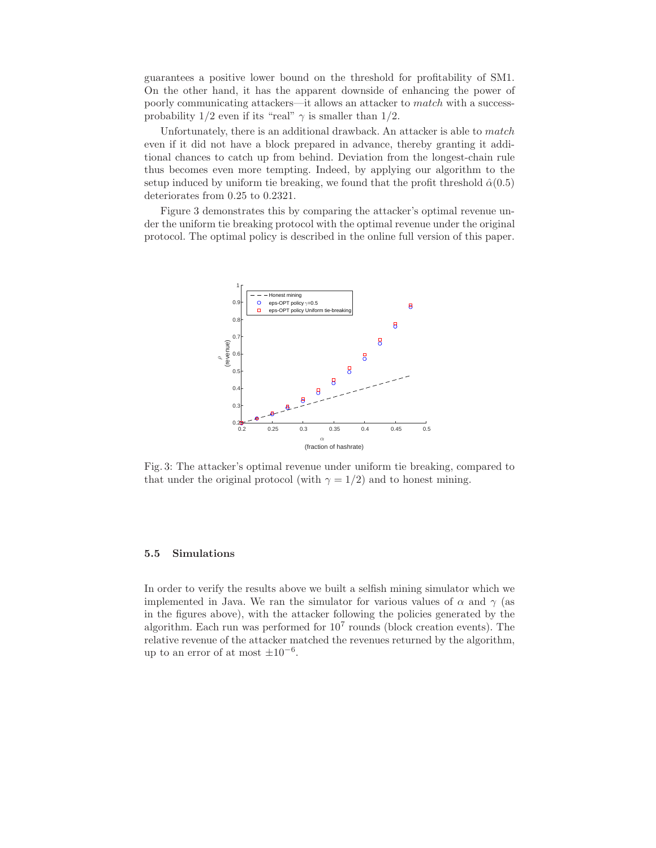guarantees a positive lower bound on the threshold for profitability of SM1. On the other hand, it has the apparent downside of enhancing the power of poorly communicating attackers—it allows an attacker to match with a successprobability  $1/2$  even if its "real"  $\gamma$  is smaller than  $1/2$ .

Unfortunately, there is an additional drawback. An attacker is able to match even if it did not have a block prepared in advance, thereby granting it additional chances to catch up from behind. Deviation from the longest-chain rule thus becomes even more tempting. Indeed, by applying our algorithm to the setup induced by uniform tie breaking, we found that the profit threshold  $\hat{\alpha}(0.5)$ deteriorates from 0.25 to 0.2321.

Figure 3 demonstrates this by comparing the attacker's optimal revenue under the uniform tie breaking protocol with the optimal revenue under the original protocol. The optimal policy is described in the online full version of this paper.



Fig. 3: The attacker's optimal revenue under uniform tie breaking, compared to that under the original protocol (with  $\gamma = 1/2$ ) and to honest mining.

#### 5.5 Simulations

In order to verify the results above we built a selfish mining simulator which we implemented in Java. We ran the simulator for various values of  $\alpha$  and  $\gamma$  (as in the figures above), with the attacker following the policies generated by the algorithm. Each run was performed for  $10<sup>7</sup>$  rounds (block creation events). The relative revenue of the attacker matched the revenues returned by the algorithm, up to an error of at most  $\pm 10^{-6}$ .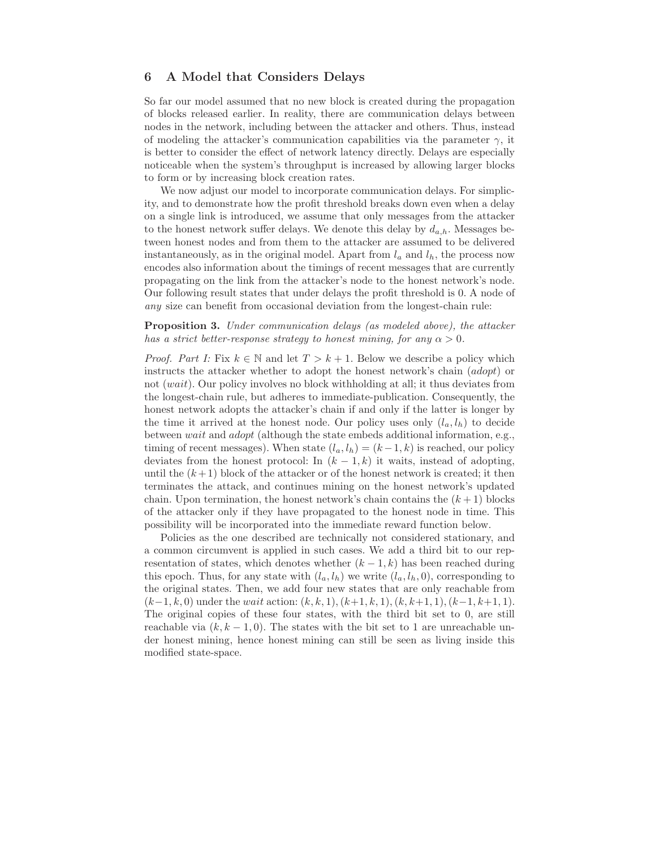## 6 A Model that Considers Delays

So far our model assumed that no new block is created during the propagation of blocks released earlier. In reality, there are communication delays between nodes in the network, including between the attacker and others. Thus, instead of modeling the attacker's communication capabilities via the parameter  $\gamma$ , it is better to consider the effect of network latency directly. Delays are especially noticeable when the system's throughput is increased by allowing larger blocks to form or by increasing block creation rates.

We now adjust our model to incorporate communication delays. For simplicity, and to demonstrate how the profit threshold breaks down even when a delay on a single link is introduced, we assume that only messages from the attacker to the honest network suffer delays. We denote this delay by  $d_{a,h}$ . Messages between honest nodes and from them to the attacker are assumed to be delivered instantaneously, as in the original model. Apart from  $l_a$  and  $l_b$ , the process now encodes also information about the timings of recent messages that are currently propagating on the link from the attacker's node to the honest network's node. Our following result states that under delays the profit threshold is 0. A node of any size can benefit from occasional deviation from the longest-chain rule:

### Proposition 3. Under communication delays (as modeled above), the attacker has a strict better-response strategy to honest mining, for any  $\alpha > 0$ .

*Proof.* Part I: Fix  $k \in \mathbb{N}$  and let  $T > k + 1$ . Below we describe a policy which instructs the attacker whether to adopt the honest network's chain (adopt) or not (wait). Our policy involves no block withholding at all; it thus deviates from the longest-chain rule, but adheres to immediate-publication. Consequently, the honest network adopts the attacker's chain if and only if the latter is longer by the time it arrived at the honest node. Our policy uses only  $(l_a, l_b)$  to decide between wait and adopt (although the state embeds additional information, e.g., timing of recent messages). When state  $(l_a, l_h) = (k-1, k)$  is reached, our policy deviates from the honest protocol: In  $(k-1, k)$  it waits, instead of adopting, until the  $(k+1)$  block of the attacker or of the honest network is created; it then terminates the attack, and continues mining on the honest network's updated chain. Upon termination, the honest network's chain contains the  $(k+1)$  blocks of the attacker only if they have propagated to the honest node in time. This possibility will be incorporated into the immediate reward function below.

Policies as the one described are technically not considered stationary, and a common circumvent is applied in such cases. We add a third bit to our representation of states, which denotes whether  $(k-1, k)$  has been reached during this epoch. Thus, for any state with  $(l_a, l_h)$  we write  $(l_a, l_h, 0)$ , corresponding to the original states. Then, we add four new states that are only reachable from  $(k-1, k, 0)$  under the wait action:  $(k, k, 1), (k+1, k, 1), (k, k+1, 1), (k-1, k+1, 1).$ The original copies of these four states, with the third bit set to 0, are still reachable via  $(k, k - 1, 0)$ . The states with the bit set to 1 are unreachable under honest mining, hence honest mining can still be seen as living inside this modified state-space.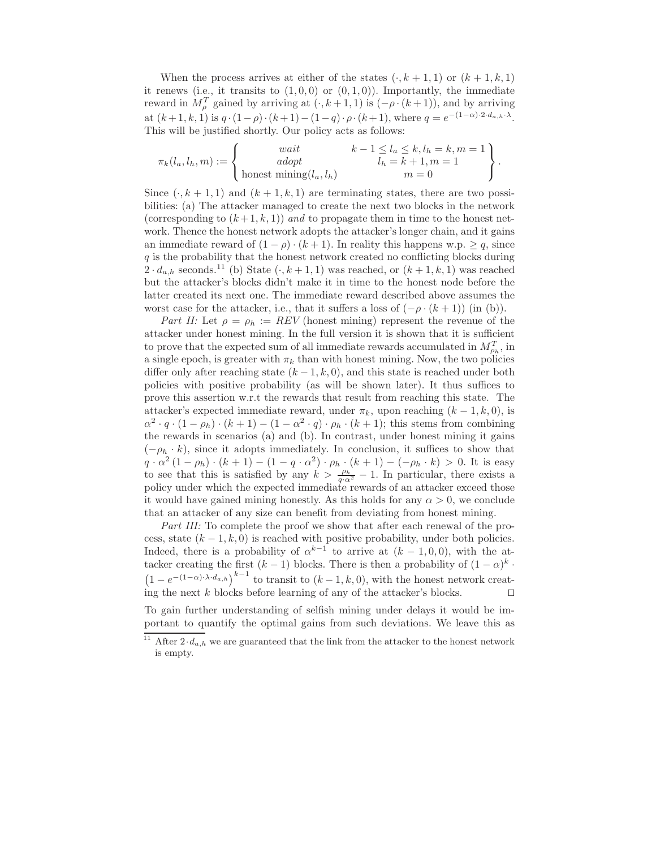When the process arrives at either of the states  $(\cdot, k + 1, 1)$  or  $(k + 1, k, 1)$ it renews (i.e., it transits to  $(1,0,0)$  or  $(0,1,0)$ ). Importantly, the immediate reward in  $M_{\rho}^T$  gained by arriving at  $(\cdot, k+1, 1)$  is  $(-\rho \cdot (k+1))$ , and by arriving at  $(k+1, k, 1)$  is  $q \cdot (1-\rho) \cdot (k+1) - (1-q) \cdot \rho \cdot (k+1)$ , where  $q = e^{-(1-\alpha) \cdot 2 \cdot d_{a,b} \cdot \lambda}$ . This will be justified shortly. Our policy acts as follows:

$$
\pi_k(l_a, l_h, m) := \begin{cases}\nwait & k-1 \le l_a \le k, l_h = k, m = 1 \\
a\,dot & l_h = k+1, m = 1 \\
h - m = 0\n\end{cases}.
$$

Since  $(\cdot, k + 1, 1)$  and  $(k + 1, k, 1)$  are terminating states, there are two possibilities: (a) The attacker managed to create the next two blocks in the network (corresponding to  $(k+1, k, 1)$ ) and to propagate them in time to the honest network. Thence the honest network adopts the attacker's longer chain, and it gains an immediate reward of  $(1 - \rho) \cdot (k + 1)$ . In reality this happens w.p.  $\geq q$ , since q is the probability that the honest network created no conflicting blocks during  $2 \cdot d_{a,h}$  seconds.<sup>11</sup> (b) State  $(\cdot, k+1, 1)$  was reached, or  $(k+1, k, 1)$  was reached but the attacker's blocks didn't make it in time to the honest node before the latter created its next one. The immediate reward described above assumes the worst case for the attacker, i.e., that it suffers a loss of  $(-\rho \cdot (k+1))$  (in (b)).

Part II: Let  $\rho = \rho_h := REV$  (honest mining) represent the revenue of the attacker under honest mining. In the full version it is shown that it is sufficient to prove that the expected sum of all immediate rewards accumulated in  $M_{\rho_h}^T$ , in a single epoch, is greater with  $\pi_k$  than with honest mining. Now, the two policies differ only after reaching state  $(k - 1, k, 0)$ , and this state is reached under both policies with positive probability (as will be shown later). It thus suffices to prove this assertion w.r.t the rewards that result from reaching this state. The attacker's expected immediate reward, under  $\pi_k$ , upon reaching  $(k-1, k, 0)$ , is  $\alpha^2 \cdot q \cdot (1 - \rho_h) \cdot (k+1) - (1 - \alpha^2 \cdot q) \cdot \rho_h \cdot (k+1)$ ; this stems from combining the rewards in scenarios (a) and (b). In contrast, under honest mining it gains  $(-\rho_h \cdot k)$ , since it adopts immediately. In conclusion, it suffices to show that  $q \cdot \alpha^2 (1 - \rho_h) \cdot (k+1) - (1 - q \cdot \alpha^2) \cdot \rho_h \cdot (k+1) - (-\rho_h \cdot k) > 0$ . It is easy to see that this is satisfied by any  $k > \frac{\rho_h}{q \cdot \alpha^2} - 1$ . In particular, there exists a policy under which the expected immediate rewards of an attacker exceed those it would have gained mining honestly. As this holds for any  $\alpha > 0$ , we conclude that an attacker of any size can benefit from deviating from honest mining.

Part III: To complete the proof we show that after each renewal of the process, state  $(k-1, k, 0)$  is reached with positive probability, under both policies. Indeed, there is a probability of  $\alpha^{k-1}$  to arrive at  $(k-1,0,0)$ , with the attacker creating the first  $(k-1)$  blocks. There is then a probability of  $(1-\alpha)^k$ .  $(1 - e^{-(1-\alpha)\cdot \lambda \cdot d_{a,h}})^{k-1}$  to transit to  $(k-1, k, 0)$ , with the honest network creating the next k blocks before learning of any of the attacker's blocks.  $□$ 

To gain further understanding of selfish mining under delays it would be important to quantify the optimal gains from such deviations. We leave this as

<sup>&</sup>lt;sup>11</sup> After  $2 \cdot d_{a,h}$  we are guaranteed that the link from the attacker to the honest network is empty.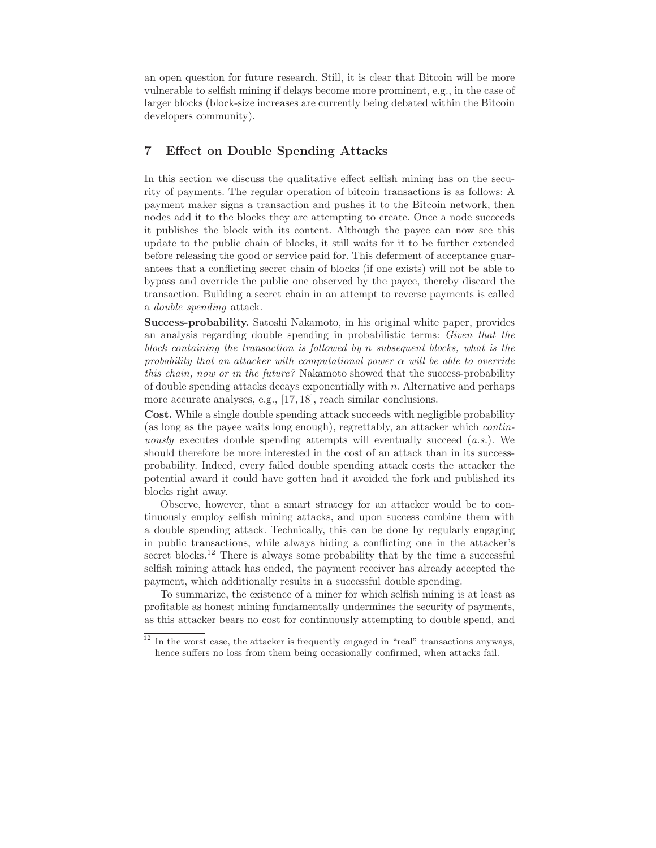an open question for future research. Still, it is clear that Bitcoin will be more vulnerable to selfish mining if delays become more prominent, e.g., in the case of larger blocks (block-size increases are currently being debated within the Bitcoin developers community).

# 7 Effect on Double Spending Attacks

In this section we discuss the qualitative effect selfish mining has on the security of payments. The regular operation of bitcoin transactions is as follows: A payment maker signs a transaction and pushes it to the Bitcoin network, then nodes add it to the blocks they are attempting to create. Once a node succeeds it publishes the block with its content. Although the payee can now see this update to the public chain of blocks, it still waits for it to be further extended before releasing the good or service paid for. This deferment of acceptance guarantees that a conflicting secret chain of blocks (if one exists) will not be able to bypass and override the public one observed by the payee, thereby discard the transaction. Building a secret chain in an attempt to reverse payments is called a double spending attack.

Success-probability. Satoshi Nakamoto, in his original white paper, provides an analysis regarding double spending in probabilistic terms: Given that the block containing the transaction is followed by n subsequent blocks, what is the probability that an attacker with computational power  $\alpha$  will be able to override this chain, now or in the future? Nakamoto showed that the success-probability of double spending attacks decays exponentially with  $n$ . Alternative and perhaps more accurate analyses, e.g., [17, 18], reach similar conclusions.

Cost. While a single double spending attack succeeds with negligible probability (as long as the payee waits long enough), regrettably, an attacker which continuously executes double spending attempts will eventually succeed  $(a.s.)$ . We should therefore be more interested in the cost of an attack than in its successprobability. Indeed, every failed double spending attack costs the attacker the potential award it could have gotten had it avoided the fork and published its blocks right away.

Observe, however, that a smart strategy for an attacker would be to continuously employ selfish mining attacks, and upon success combine them with a double spending attack. Technically, this can be done by regularly engaging in public transactions, while always hiding a conflicting one in the attacker's secret blocks.<sup>12</sup> There is always some probability that by the time a successful selfish mining attack has ended, the payment receiver has already accepted the payment, which additionally results in a successful double spending.

To summarize, the existence of a miner for which selfish mining is at least as profitable as honest mining fundamentally undermines the security of payments, as this attacker bears no cost for continuously attempting to double spend, and

 $12$  In the worst case, the attacker is frequently engaged in "real" transactions anyways, hence suffers no loss from them being occasionally confirmed, when attacks fail.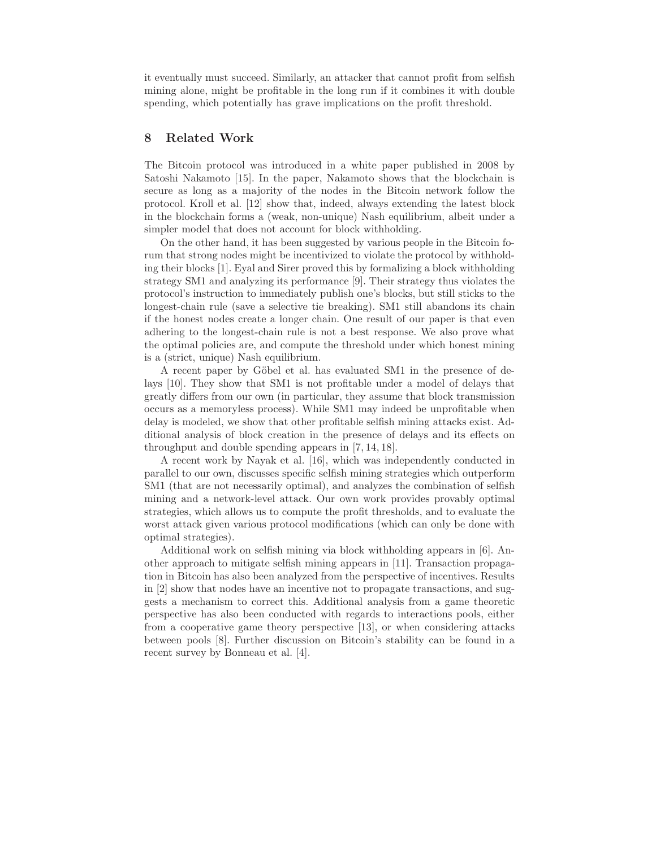it eventually must succeed. Similarly, an attacker that cannot profit from selfish mining alone, might be profitable in the long run if it combines it with double spending, which potentially has grave implications on the profit threshold.

### 8 Related Work

The Bitcoin protocol was introduced in a white paper published in 2008 by Satoshi Nakamoto [15]. In the paper, Nakamoto shows that the blockchain is secure as long as a majority of the nodes in the Bitcoin network follow the protocol. Kroll et al. [12] show that, indeed, always extending the latest block in the blockchain forms a (weak, non-unique) Nash equilibrium, albeit under a simpler model that does not account for block withholding.

On the other hand, it has been suggested by various people in the Bitcoin forum that strong nodes might be incentivized to violate the protocol by withholding their blocks [1]. Eyal and Sirer proved this by formalizing a block withholding strategy SM1 and analyzing its performance [9]. Their strategy thus violates the protocol's instruction to immediately publish one's blocks, but still sticks to the longest-chain rule (save a selective tie breaking). SM1 still abandons its chain if the honest nodes create a longer chain. One result of our paper is that even adhering to the longest-chain rule is not a best response. We also prove what the optimal policies are, and compute the threshold under which honest mining is a (strict, unique) Nash equilibrium.

A recent paper by Göbel et al. has evaluated SM1 in the presence of delays [10]. They show that SM1 is not profitable under a model of delays that greatly differs from our own (in particular, they assume that block transmission occurs as a memoryless process). While SM1 may indeed be unprofitable when delay is modeled, we show that other profitable selfish mining attacks exist. Additional analysis of block creation in the presence of delays and its effects on throughput and double spending appears in [7, 14, 18].

A recent work by Nayak et al. [16], which was independently conducted in parallel to our own, discusses specific selfish mining strategies which outperform SM1 (that are not necessarily optimal), and analyzes the combination of selfish mining and a network-level attack. Our own work provides provably optimal strategies, which allows us to compute the profit thresholds, and to evaluate the worst attack given various protocol modifications (which can only be done with optimal strategies).

Additional work on selfish mining via block withholding appears in [6]. Another approach to mitigate selfish mining appears in [11]. Transaction propagation in Bitcoin has also been analyzed from the perspective of incentives. Results in [2] show that nodes have an incentive not to propagate transactions, and suggests a mechanism to correct this. Additional analysis from a game theoretic perspective has also been conducted with regards to interactions pools, either from a cooperative game theory perspective [13], or when considering attacks between pools [8]. Further discussion on Bitcoin's stability can be found in a recent survey by Bonneau et al. [4].